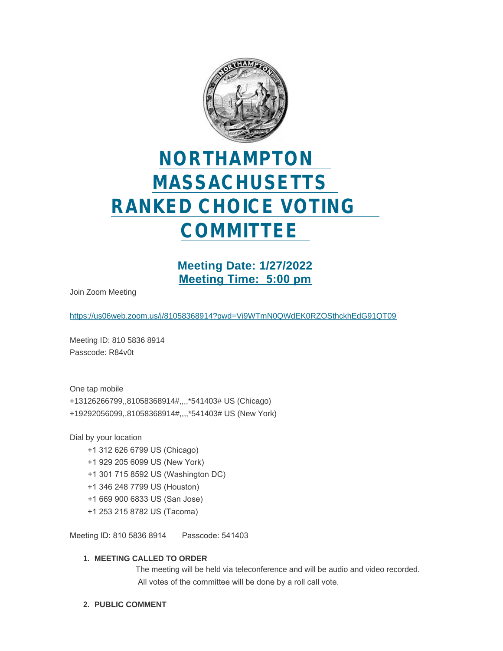

# **NORTHAMPTON MASSACHUSETTS RANKED CHOICE VOTING COMMITTEE**

**Meeting Date: 1/27/2022 Meeting Time: 5:00 pm**

Join Zoom Meeting

<https://us06web.zoom.us/j/81058368914?pwd=Vi9WTmN0QWdEK0RZOSthckhEdG91QT09>

Meeting ID: 810 5836 8914 Passcode: R84v0t

One tap mobile +13126266799,,81058368914#,,,,\*541403# US (Chicago) +19292056099,,81058368914#,,,,\*541403# US (New York)

Dial by your location

- +1 312 626 6799 US (Chicago)
- +1 929 205 6099 US (New York)
- +1 301 715 8592 US (Washington DC)
- +1 346 248 7799 US (Houston)
- +1 669 900 6833 US (San Jose)
- +1 253 215 8782 US (Tacoma)

Meeting ID: 810 5836 8914 Passcode: 541403

#### **MEETING CALLED TO ORDER 1.**

The meeting will be held via teleconference and will be audio and video recorded. All votes of the committee will be done by a roll call vote.

**PUBLIC COMMENT 2.**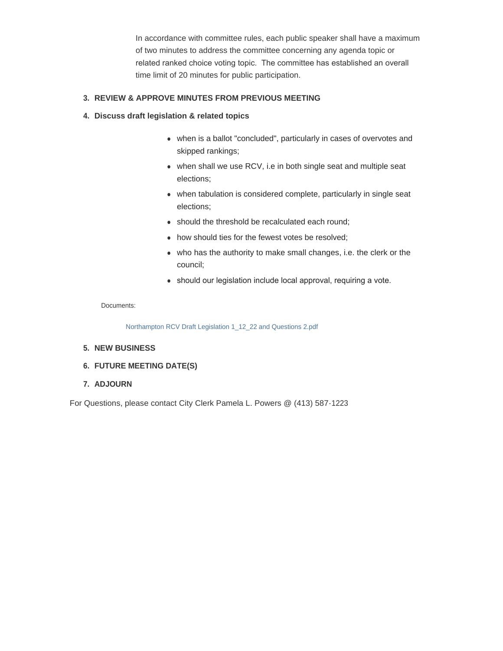In accordance with committee rules, each public speaker shall have a maximum of two minutes to address the committee concerning any agenda topic or related ranked choice voting topic. The committee has established an overall time limit of 20 minutes for public participation.

#### **REVIEW & APPROVE MINUTES FROM PREVIOUS MEETING 3.**

#### **Discuss draft legislation & related topics 4.**

- when is a ballot "concluded", particularly in cases of overvotes and skipped rankings;
- $\bullet$  when shall we use RCV, i.e in both single seat and multiple seat elections;
- $\bullet$  when tabulation is considered complete, particularly in single seat elections;
- should the threshold be recalculated each round;
- how should ties for the fewest votes be resolved;
- who has the authority to make small changes, i.e. the clerk or the council;
- should our legislation include local approval, requiring a vote.

#### Documents:

Northampton RCV Draft Legislation 1\_12\_22 and Questions 2.pdf

#### **NEW BUSINESS 5.**

- **FUTURE MEETING DATE(S) 6.**
- **ADJOURN 7.**

For Questions, please contact City Clerk Pamela L. Powers @ (413) 587-1223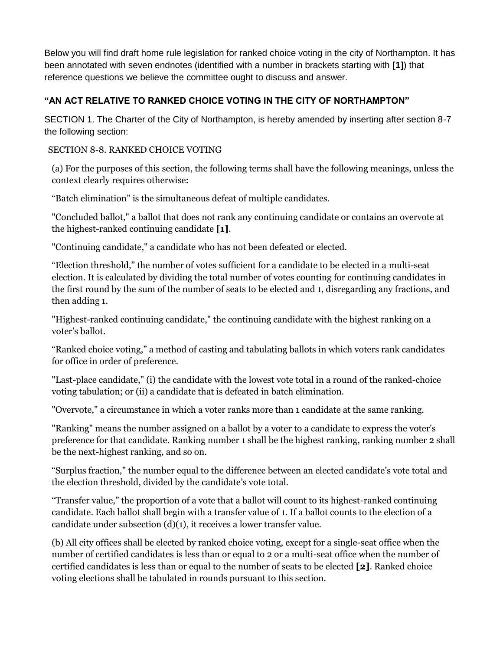Below you will find draft home rule legislation for ranked choice voting in the city of Northampton. It has been annotated with seven endnotes (identified with a number in brackets starting with **[1]**) that reference questions we believe the committee ought to discuss and answer.

## **"AN ACT RELATIVE TO RANKED CHOICE VOTING IN THE CITY OF NORTHAMPTON"**

SECTION 1. The Charter of the City of Northampton, is hereby amended by inserting after section 8-7 the following section:

#### SECTION 8-8. RANKED CHOICE VOTING

(a) For the purposes of this section, the following terms shall have the following meanings, unless the context clearly requires otherwise:

"Batch elimination" is the simultaneous defeat of multiple candidates.

"Concluded ballot," a ballot that does not rank any continuing candidate or contains an overvote at the highest-ranked continuing candidate **[1]**.

"Continuing candidate," a candidate who has not been defeated or elected.

"Election threshold," the number of votes sufficient for a candidate to be elected in a multi-seat election. It is calculated by dividing the total number of votes counting for continuing candidates in the first round by the sum of the number of seats to be elected and 1, disregarding any fractions, and then adding 1.

"Highest-ranked continuing candidate," the continuing candidate with the highest ranking on a voter's ballot.

"Ranked choice voting," a method of casting and tabulating ballots in which voters rank candidates for office in order of preference.

"Last-place candidate," (i) the candidate with the lowest vote total in a round of the ranked-choice voting tabulation; or (ii) a candidate that is defeated in batch elimination.

"Overvote," a circumstance in which a voter ranks more than 1 candidate at the same ranking.

"Ranking" means the number assigned on a ballot by a voter to a candidate to express the voter's preference for that candidate. Ranking number 1 shall be the highest ranking, ranking number 2 shall be the next-highest ranking, and so on.

"Surplus fraction," the number equal to the difference between an elected candidate's vote total and the election threshold, divided by the candidate's vote total.

"Transfer value," the proportion of a vote that a ballot will count to its highest-ranked continuing candidate. Each ballot shall begin with a transfer value of 1. If a ballot counts to the election of a candidate under subsection (d)(1), it receives a lower transfer value.

(b) All city offices shall be elected by ranked choice voting, except for a single-seat office when the number of certified candidates is less than or equal to 2 or a multi-seat office when the number of certified candidates is less than or equal to the number of seats to be elected **[2]**. Ranked choice voting elections shall be tabulated in rounds pursuant to this section.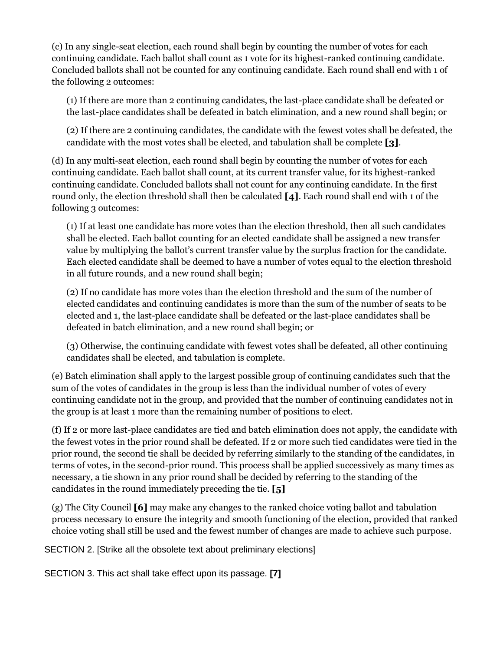(c) In any single-seat election, each round shall begin by counting the number of votes for each continuing candidate. Each ballot shall count as 1 vote for its highest-ranked continuing candidate. Concluded ballots shall not be counted for any continuing candidate. Each round shall end with 1 of the following 2 outcomes:

(1) If there are more than 2 continuing candidates, the last-place candidate shall be defeated or the last-place candidates shall be defeated in batch elimination, and a new round shall begin; or

(2) If there are 2 continuing candidates, the candidate with the fewest votes shall be defeated, the candidate with the most votes shall be elected, and tabulation shall be complete **[3]**.

(d) In any multi-seat election, each round shall begin by counting the number of votes for each continuing candidate. Each ballot shall count, at its current transfer value, for its highest-ranked continuing candidate. Concluded ballots shall not count for any continuing candidate. In the first round only, the election threshold shall then be calculated **[4]**. Each round shall end with 1 of the following 3 outcomes:

(1) If at least one candidate has more votes than the election threshold, then all such candidates shall be elected. Each ballot counting for an elected candidate shall be assigned a new transfer value by multiplying the ballot's current transfer value by the surplus fraction for the candidate. Each elected candidate shall be deemed to have a number of votes equal to the election threshold in all future rounds, and a new round shall begin;

(2) If no candidate has more votes than the election threshold and the sum of the number of elected candidates and continuing candidates is more than the sum of the number of seats to be elected and 1, the last-place candidate shall be defeated or the last-place candidates shall be defeated in batch elimination, and a new round shall begin; or

(3) Otherwise, the continuing candidate with fewest votes shall be defeated, all other continuing candidates shall be elected, and tabulation is complete.

(e) Batch elimination shall apply to the largest possible group of continuing candidates such that the sum of the votes of candidates in the group is less than the individual number of votes of every continuing candidate not in the group, and provided that the number of continuing candidates not in the group is at least 1 more than the remaining number of positions to elect.

(f) If 2 or more last-place candidates are tied and batch elimination does not apply, the candidate with the fewest votes in the prior round shall be defeated. If 2 or more such tied candidates were tied in the prior round, the second tie shall be decided by referring similarly to the standing of the candidates, in terms of votes, in the second-prior round. This process shall be applied successively as many times as necessary, a tie shown in any prior round shall be decided by referring to the standing of the candidates in the round immediately preceding the tie. **[5]**

(g) The City Council **[6]** may make any changes to the ranked choice voting ballot and tabulation process necessary to ensure the integrity and smooth functioning of the election, provided that ranked choice voting shall still be used and the fewest number of changes are made to achieve such purpose.

SECTION 2. [Strike all the obsolete text about preliminary elections]

SECTION 3. This act shall take effect upon its passage. **[7]**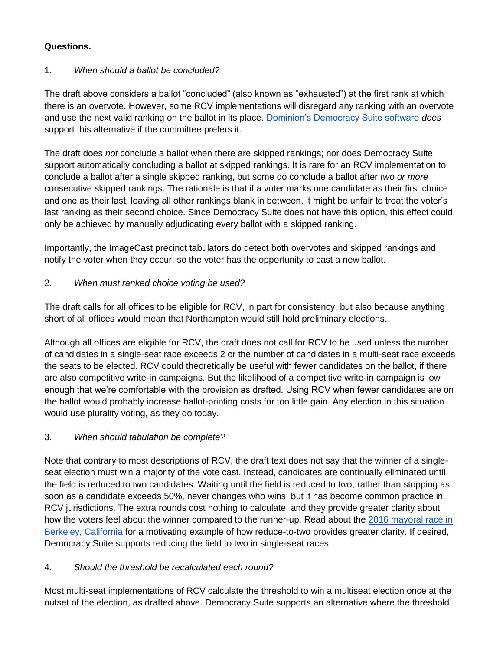## **Questions.**

#### 1. *When should a ballot be concluded?*

The draft above considers a ballot "concluded" (also known as "exhausted") at the first rank at which there is an overvote. However, some RCV implementations will disregard any ranking with an overvote and use the next valid ranking on the ballot in its place. [Dominion's Democracy Suite software](https://www.sos.state.co.us/pubs/elections/VotingSystems/DVS-DemocracySuite/documentation/EMS_RTR_UserGuide.pdf) *does* support this alternative if the committee prefers it.

The draft does *not* conclude a ballot when there are skipped rankings; nor does Democracy Suite support automatically concluding a ballot at skipped rankings. It is rare for an RCV implementation to conclude a ballot after a single skipped ranking, but some do conclude a ballot after *two or more* consecutive skipped rankings. The rationale is that if a voter marks one candidate as their first choice and one as their last, leaving all other rankings blank in between, it might be unfair to treat the voter's last ranking as their second choice. Since Democracy Suite does not have this option, this effect could only be achieved by manually adjudicating every ballot with a skipped ranking.

Importantly, the ImageCast precinct tabulators do detect both overvotes and skipped rankings and notify the voter when they occur, so the voter has the opportunity to cast a new ballot.

#### 2. *When must ranked choice voting be used?*

The draft calls for all offices to be eligible for RCV, in part for consistency, but also because anything short of all offices would mean that Northampton would still hold preliminary elections.

Although all offices are eligible for RCV, the draft does not call for RCV to be used unless the number of candidates in a single-seat race exceeds 2 or the number of candidates in a multi-seat race exceeds the seats to be elected. RCV could theoretically be useful with fewer candidates on the ballot, if there are also competitive write-in campaigns. But the likelihood of a competitive write-in campaign is low enough that we're comfortable with the provision as drafted. Using RCV when fewer candidates are on the ballot would probably increase ballot-printing costs for too little gain. Any election in this situation would use plurality voting, as they do today.

#### 3. *When should tabulation be complete?*

Note that contrary to most descriptions of RCV, the draft text does not say that the winner of a singleseat election must win a majority of the vote cast. Instead, candidates are continually eliminated until the field is reduced to two candidates. Waiting until the field is reduced to two, rather than stopping as soon as a candidate exceeds 50%, never changes who wins, but it has become common practice in RCV jurisdictions. The extra rounds cost nothing to calculate, and they provide greater clarity about how the voters feel about the winner compared to the runner-up. Read about the 2016 mayoral race in [Berkeley, California](https://www.fairvoteca.org/press_statement_berkeley_mayor_elect_jesse_arreguin_wins_60_to_40) for a motivating example of how reduce-to-two provides greater clarity. If desired, Democracy Suite supports reducing the field to two in single-seat races.

#### 4. *Should the threshold be recalculated each round?*

Most multi-seat implementations of RCV calculate the threshold to win a multiseat election once at the outset of the election, as drafted above. Democracy Suite supports an alternative where the threshold